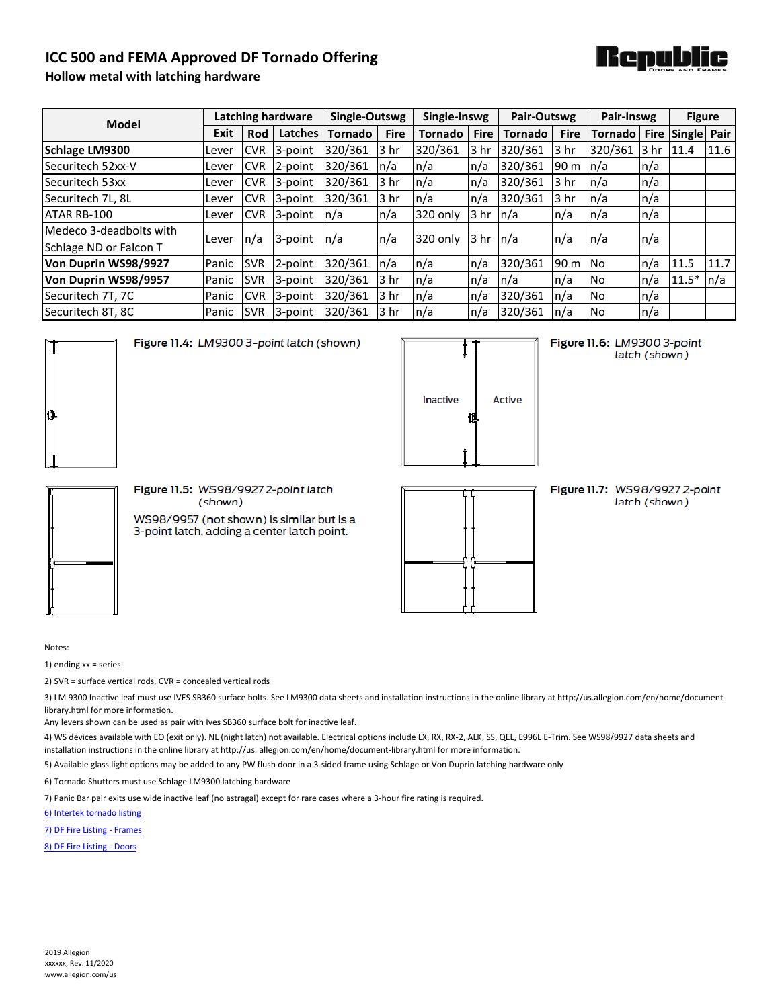## **ICC 500 and FEMA Approved DF Tornado Offering**



## **Hollow metal with latching hardware**

| <b>Model</b>            | Latching hardware |                          |         | Single-Outswg  |             | Single-Inswg          |                            | Pair-Outswg    |             | Pair-Inswg               |      | <b>Figure</b>    |      |
|-------------------------|-------------------|--------------------------|---------|----------------|-------------|-----------------------|----------------------------|----------------|-------------|--------------------------|------|------------------|------|
|                         | Exit              | Rod                      | Latches | <b>Tornado</b> | <b>Fire</b> | <b>Tornado</b>        | <b>Fire</b>                | <b>Tornado</b> | <b>Fire</b> | Tornado                  |      | Fire Single Pair |      |
| <b>Schlage LM9300</b>   | Lever             | <b>CVR</b>               | 3-point | 320/361        | 3 hr        | 320/361               | l3 hr                      | 320/361        | 3 hr        | 320/361                  | 3 hr | 11.4             | 11.6 |
| Securitech 52xx-V       | Lever             | <b>CVR</b>               | 2-point | 320/361        | n/a         | ln/a                  | n/a                        | 320/361        | 190 m       | n/a                      | n/a  |                  |      |
| Securitech 53xx         | Lever             | <b>CVR</b>               | 3-point | 320/361        | 3 hr        | $\ln/a$               | $\mathsf{In}/\mathsf{a}$   | 320/361        | 3 hr        | $\mathsf{In}/\mathsf{a}$ | n/a  |                  |      |
| Securitech 7L, 8L       | Lever             | <b>CVR</b>               | 3-point | 320/361        | 3 hr        | ln/a                  | $\mathsf{In}/\mathsf{a}$   | 320/361        | 3 hr        | n/a                      | n/a  |                  |      |
| ATAR RB-100             | Lever             | <b>CVR</b>               | 3-point | n/a            | n/a         | 320 only              | 3 <sub>hr</sub>            | $\ln/a$        | n/a         | n/a                      | n/a  |                  |      |
| Medeco 3-deadbolts with | Lever             | $\mathsf{In}/\mathsf{a}$ | 3-point | n/a            | n/a         | 320 only              | $3 hr \nightharpoonup n/a$ |                | n/a         | $\ln/a$                  | n/a  |                  |      |
| Schlage ND or Falcon T  |                   |                          |         |                |             |                       |                            |                |             |                          |      |                  |      |
| Von Duprin WS98/9927    | Panic             | <b>SVR</b>               | 2-point | 320/361        | n/a         | $\lfloor n/a \rfloor$ | $\mathsf{In}/\mathsf{a}$   | 320/361        | 90 m        | INo.                     | n/a  | 11.5             | 11.7 |
| Von Duprin WS98/9957    | Panic             | <b>SVR</b>               | 3-point | 320/361        | 3 hr        | $\ln/a$               | n/a                        | $\ln/a$        | n/a         | No.                      | n/a  | $11.5*$          | n/a  |
| Securitech 7T, 7C       | Panic             | <b>CVR</b>               | 3-point | 320/361        | 3 hr        | $\ln/a$               | n/a                        | 320/361        | n/a         | No.                      | n/a  |                  |      |
| Securitech 8T, 8C       | Panic             | <b>SVR</b>               | 3-point | 320/361        | 3 hr        | ln/a                  | $\mathsf{In}/\mathsf{a}$   | 320/361        | n/a         | No.                      | n/a  |                  |      |



Figure 11.4: LM9300 3-point latch (shown)

| <b>Inactive</b> | <b>Active</b> |
|-----------------|---------------|
|                 |               |

Figure 11.6: LM9300 3-point latch (shown)



Figure 11.5: WS98/9927 2-point latch (shown) WS98/9957 (not shown) is similar but is a

3-point latch, adding a center latch point.

Figure 11.7: WS98/99272-point latch (shown)

Notes:

1) ending xx = series

2) SVR = surface vertical rods, CVR = concealed vertical rods

3) LM 9300 Inactive leaf must use IVES SB360 surface bolts. See LM9300 data sheets and installation instructions in the online library at http://us.allegion.com/en/home/documentlibrary.html for more information.

Any levers shown can be used as pair with Ives SB360 surface bolt for inactive leaf.

4) WS devices available with EO (exit only). NL (night latch) not available. Electrical options include LX, RX, RX-2, ALK, SS, QEL, E996L E-Trim. See WS98/9927 data sheets and installation instructions in the online library at http://us. allegion.com/en/home/document-library.html for more information.

5) Available glass light options may be added to any PW flush door in a 3-sided frame using Schlage or Von Duprin latching hardware only

6) Tornado Shutters must use Schlage LM9300 latching hardware

7) Panic Bar pair exits use wide inactive leaf (no astragal) except for rare cases where a 3-hour fire rating is required.

[6\) Intertek tornado listing](https://bpdirectory.intertek.com/pages/DLP_SearchDetail.aspx?SpecID=39897)

[7\) DF Fire Listing - Frames](https://bpdirectory.intertek.com/pages/DLP_SearchDetail.aspx?SpecID=32827)

[8\) DF Fire Listing - Doors](https://bpdirectory.intertek.com/pages/DLP_SearchDetail.aspx?SpecID=32719)